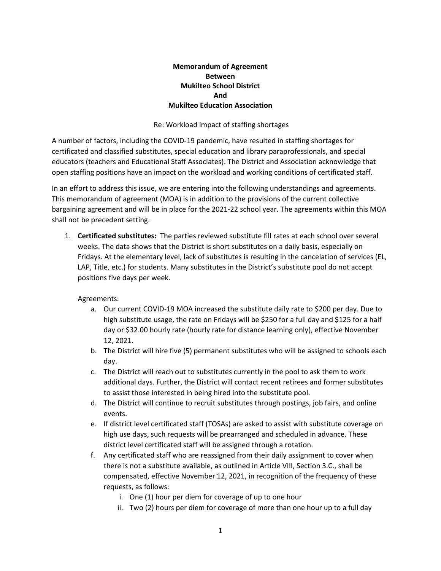## **Memorandum of Agreement Between Mukilteo School District And Mukilteo Education Association**

#### Re: Workload impact of staffing shortages

A number of factors, including the COVID-19 pandemic, have resulted in staffing shortages for certificated and classified substitutes, special education and library paraprofessionals, and special educators (teachers and Educational Staff Associates). The District and Association acknowledge that open staffing positions have an impact on the workload and working conditions of certificated staff.

In an effort to address this issue, we are entering into the following understandings and agreements. This memorandum of agreement (MOA) is in addition to the provisions of the current collective bargaining agreement and will be in place for the 2021-22 school year. The agreements within this MOA shall not be precedent setting.

1. **Certificated substitutes:** The parties reviewed substitute fill rates at each school over several weeks. The data shows that the District is short substitutes on a daily basis, especially on Fridays. At the elementary level, lack of substitutes is resulting in the cancelation of services (EL, LAP, Title, etc.) for students. Many substitutes in the District's substitute pool do not accept positions five days per week.

### Agreements:

- a. Our current COVID-19 MOA increased the substitute daily rate to \$200 per day. Due to high substitute usage, the rate on Fridays will be \$250 for a full day and \$125 for a half day or \$32.00 hourly rate (hourly rate for distance learning only), effective November 12, 2021.
- b. The District will hire five (5) permanent substitutes who will be assigned to schools each day.
- c. The District will reach out to substitutes currently in the pool to ask them to work additional days. Further, the District will contact recent retirees and former substitutes to assist those interested in being hired into the substitute pool.
- d. The District will continue to recruit substitutes through postings, job fairs, and online events.
- e. If district level certificated staff (TOSAs) are asked to assist with substitute coverage on high use days, such requests will be prearranged and scheduled in advance. These district level certificated staff will be assigned through a rotation.
- f. Any certificated staff who are reassigned from their daily assignment to cover when there is not a substitute available, as outlined in Article VIII, Section 3.C., shall be compensated, effective November 12, 2021, in recognition of the frequency of these requests, as follows:
	- i. One (1) hour per diem for coverage of up to one hour
	- ii. Two (2) hours per diem for coverage of more than one hour up to a full day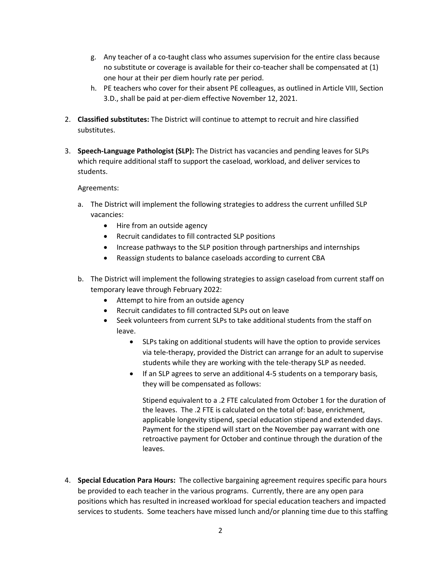- g. Any teacher of a co-taught class who assumes supervision for the entire class because no substitute or coverage is available for their co-teacher shall be compensated at (1) one hour at their per diem hourly rate per period.
- h. PE teachers who cover for their absent PE colleagues, as outlined in Article VIII, Section 3.D., shall be paid at per-diem effective November 12, 2021.
- 2. **Classified substitutes:** The District will continue to attempt to recruit and hire classified substitutes.
- 3. **Speech-Language Pathologist (SLP):** The District has vacancies and pending leaves for SLPs which require additional staff to support the caseload, workload, and deliver services to students.

### Agreements:

- a. The District will implement the following strategies to address the current unfilled SLP vacancies:
	- Hire from an outside agency
	- Recruit candidates to fill contracted SLP positions
	- Increase pathways to the SLP position through partnerships and internships
	- Reassign students to balance caseloads according to current CBA
- b. The District will implement the following strategies to assign caseload from current staff on temporary leave through February 2022:
	- Attempt to hire from an outside agency
	- Recruit candidates to fill contracted SLPs out on leave
	- Seek volunteers from current SLPs to take additional students from the staff on leave.
		- SLPs taking on additional students will have the option to provide services via tele-therapy, provided the District can arrange for an adult to supervise students while they are working with the tele-therapy SLP as needed.
		- If an SLP agrees to serve an additional 4-5 students on a temporary basis, they will be compensated as follows:

Stipend equivalent to a .2 FTE calculated from October 1 for the duration of the leaves. The .2 FTE is calculated on the total of: base, enrichment, applicable longevity stipend, special education stipend and extended days. Payment for the stipend will start on the November pay warrant with one retroactive payment for October and continue through the duration of the leaves.

4. **Special Education Para Hours:** The collective bargaining agreement requires specific para hours be provided to each teacher in the various programs. Currently, there are any open para positions which has resulted in increased workload for special education teachers and impacted services to students. Some teachers have missed lunch and/or planning time due to this staffing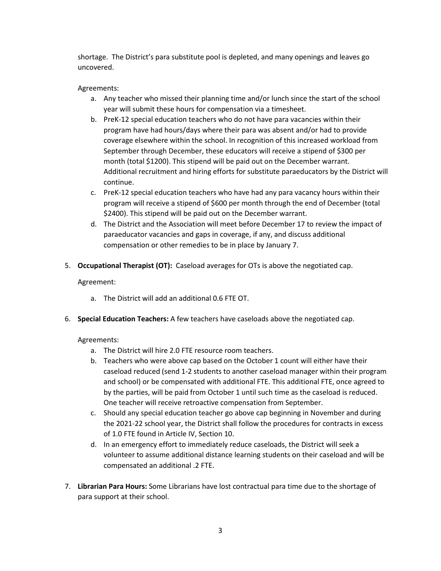shortage. The District's para substitute pool is depleted, and many openings and leaves go uncovered.

# Agreements:

- a. Any teacher who missed their planning time and/or lunch since the start of the school year will submit these hours for compensation via a timesheet.
- b. PreK-12 special education teachers who do not have para vacancies within their program have had hours/days where their para was absent and/or had to provide coverage elsewhere within the school. In recognition of this increased workload from September through December, these educators will receive a stipend of \$300 per month (total \$1200). This stipend will be paid out on the December warrant. Additional recruitment and hiring efforts for substitute paraeducators by the District will continue.
- c. PreK-12 special education teachers who have had any para vacancy hours within their program will receive a stipend of \$600 per month through the end of December (total \$2400). This stipend will be paid out on the December warrant.
- d. The District and the Association will meet before December 17 to review the impact of paraeducator vacancies and gaps in coverage, if any, and discuss additional compensation or other remedies to be in place by January 7.
- 5. **Occupational Therapist (OT):** Caseload averages for OTs is above the negotiated cap.

### Agreement:

- a. The District will add an additional 0.6 FTE OT.
- 6. **Special Education Teachers:** A few teachers have caseloads above the negotiated cap.

### Agreements:

- a. The District will hire 2.0 FTE resource room teachers.
- b. Teachers who were above cap based on the October 1 count will either have their caseload reduced (send 1-2 students to another caseload manager within their program and school) or be compensated with additional FTE. This additional FTE, once agreed to by the parties, will be paid from October 1 until such time as the caseload is reduced. One teacher will receive retroactive compensation from September.
- c. Should any special education teacher go above cap beginning in November and during the 2021-22 school year, the District shall follow the procedures for contracts in excess of 1.0 FTE found in Article IV, Section 10.
- d. In an emergency effort to immediately reduce caseloads, the District will seek a volunteer to assume additional distance learning students on their caseload and will be compensated an additional .2 FTE.
- 7. **Librarian Para Hours:** Some Librarians have lost contractual para time due to the shortage of para support at their school.